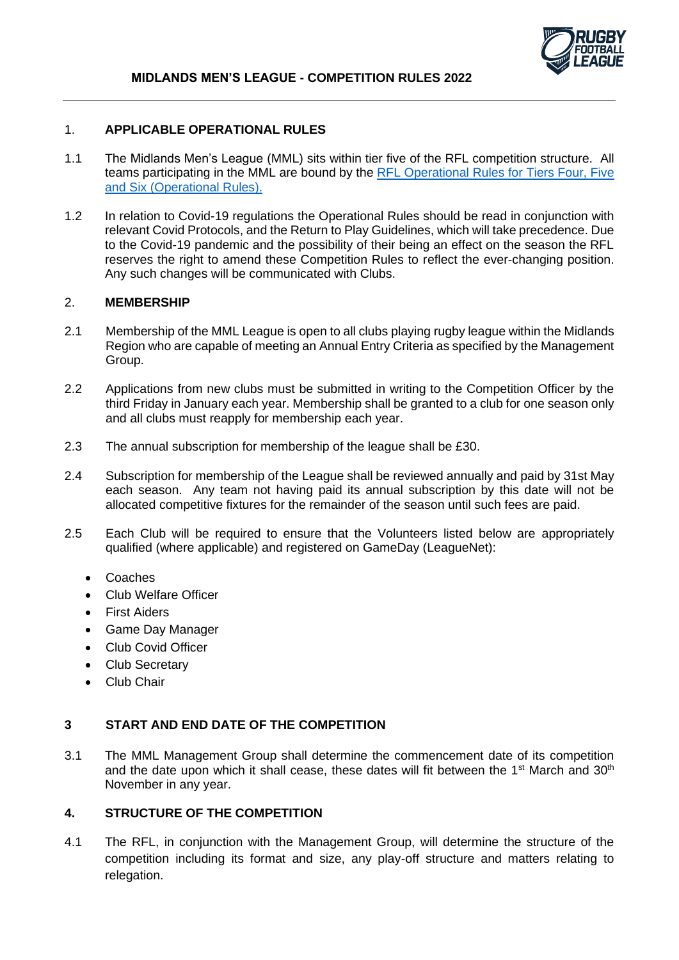

### 1. **APPLICABLE OPERATIONAL RULES**

- 1.1 The Midlands Men's League (MML) sits within tier five of the RFL competition structure. All teams participating in the MML are bound by the [RFL Operational Rules for Tiers Four, Five](https://staging.rugby-league.com/flipbooks/2022-operational-rules-tiers-4-6/index.html)  [and Six \(Operational Rules\).](https://staging.rugby-league.com/flipbooks/2022-operational-rules-tiers-4-6/index.html)
- 1.2 In relation to Covid-19 regulations the Operational Rules should be read in conjunction with relevant Covid Protocols, and the Return to Play Guidelines, which will take precedence. Due to the Covid-19 pandemic and the possibility of their being an effect on the season the RFL reserves the right to amend these Competition Rules to reflect the ever-changing position. Any such changes will be communicated with Clubs.

# 2. **MEMBERSHIP**

- 2.1 Membership of the MML League is open to all clubs playing rugby league within the Midlands Region who are capable of meeting an Annual Entry Criteria as specified by the Management Group.
- 2.2 Applications from new clubs must be submitted in writing to the Competition Officer by the third Friday in January each year. Membership shall be granted to a club for one season only and all clubs must reapply for membership each year.
- 2.3 The annual subscription for membership of the league shall be £30.
- 2.4 Subscription for membership of the League shall be reviewed annually and paid by 31st May each season. Any team not having paid its annual subscription by this date will not be allocated competitive fixtures for the remainder of the season until such fees are paid.
- 2.5 Each Club will be required to ensure that the Volunteers listed below are appropriately qualified (where applicable) and registered on GameDay (LeagueNet):
	- Coaches
	- Club Welfare Officer
	- First Aiders
	- Game Day Manager
	- Club Covid Officer
	- Club Secretary
	- Club Chair

# **3 START AND END DATE OF THE COMPETITION**

3.1 The MML Management Group shall determine the commencement date of its competition and the date upon which it shall cease, these dates will fit between the 1<sup>st</sup> March and 30<sup>th</sup> November in any year.

### **4. STRUCTURE OF THE COMPETITION**

4.1 The RFL, in conjunction with the Management Group, will determine the structure of the competition including its format and size, any play-off structure and matters relating to relegation.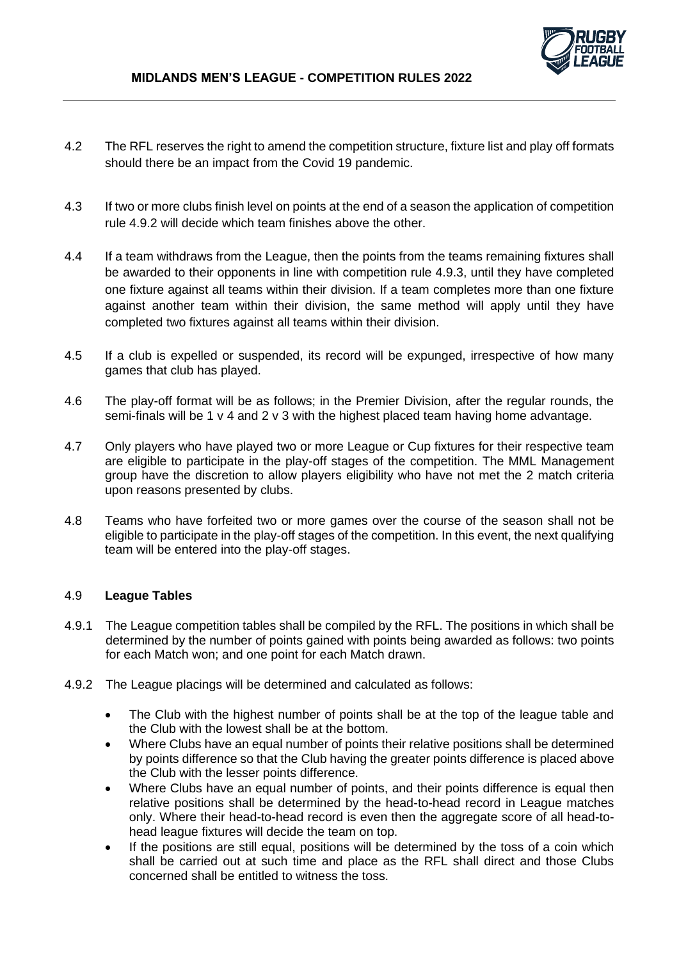

- 4.2 The RFL reserves the right to amend the competition structure, fixture list and play off formats should there be an impact from the Covid 19 pandemic.
- 4.3 If two or more clubs finish level on points at the end of a season the application of competition rule 4.9.2 will decide which team finishes above the other.
- 4.4 If a team withdraws from the League, then the points from the teams remaining fixtures shall be awarded to their opponents in line with competition rule 4.9.3, until they have completed one fixture against all teams within their division. If a team completes more than one fixture against another team within their division, the same method will apply until they have completed two fixtures against all teams within their division.
- 4.5 If a club is expelled or suspended, its record will be expunged, irrespective of how many games that club has played.
- 4.6 The play-off format will be as follows; in the Premier Division, after the regular rounds, the semi-finals will be 1 v 4 and 2 v 3 with the highest placed team having home advantage.
- 4.7 Only players who have played two or more League or Cup fixtures for their respective team are eligible to participate in the play-off stages of the competition. The MML Management group have the discretion to allow players eligibility who have not met the 2 match criteria upon reasons presented by clubs.
- 4.8 Teams who have forfeited two or more games over the course of the season shall not be eligible to participate in the play-off stages of the competition. In this event, the next qualifying team will be entered into the play-off stages.

### 4.9 **League Tables**

- 4.9.1 The League competition tables shall be compiled by the RFL. The positions in which shall be determined by the number of points gained with points being awarded as follows: two points for each Match won; and one point for each Match drawn.
- 4.9.2 The League placings will be determined and calculated as follows:
	- The Club with the highest number of points shall be at the top of the league table and the Club with the lowest shall be at the bottom.
	- Where Clubs have an equal number of points their relative positions shall be determined by points difference so that the Club having the greater points difference is placed above the Club with the lesser points difference.
	- Where Clubs have an equal number of points, and their points difference is equal then relative positions shall be determined by the head-to-head record in League matches only. Where their head-to-head record is even then the aggregate score of all head-tohead league fixtures will decide the team on top.
	- If the positions are still equal, positions will be determined by the toss of a coin which shall be carried out at such time and place as the RFL shall direct and those Clubs concerned shall be entitled to witness the toss.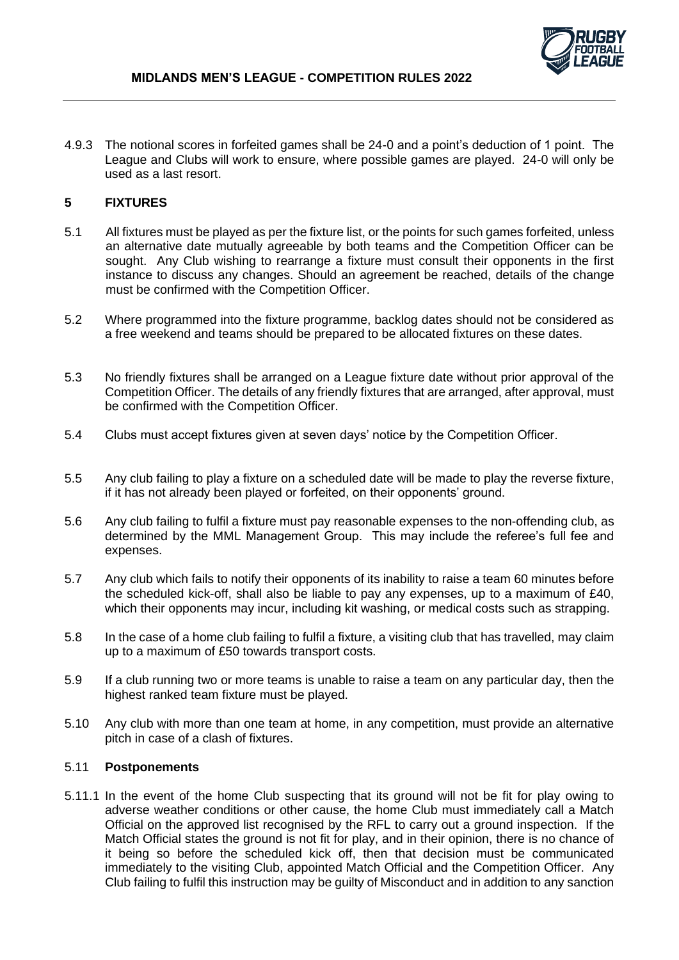

4.9.3 The notional scores in forfeited games shall be 24-0 and a point's deduction of 1 point. The League and Clubs will work to ensure, where possible games are played. 24-0 will only be used as a last resort.

### **5 FIXTURES**

- 5.1 All fixtures must be played as per the fixture list, or the points for such games forfeited, unless an alternative date mutually agreeable by both teams and the Competition Officer can be sought. Any Club wishing to rearrange a fixture must consult their opponents in the first instance to discuss any changes. Should an agreement be reached, details of the change must be confirmed with the Competition Officer.
- 5.2 Where programmed into the fixture programme, backlog dates should not be considered as a free weekend and teams should be prepared to be allocated fixtures on these dates.
- 5.3 No friendly fixtures shall be arranged on a League fixture date without prior approval of the Competition Officer. The details of any friendly fixtures that are arranged, after approval, must be confirmed with the Competition Officer.
- 5.4 Clubs must accept fixtures given at seven days' notice by the Competition Officer.
- 5.5 Any club failing to play a fixture on a scheduled date will be made to play the reverse fixture, if it has not already been played or forfeited, on their opponents' ground.
- 5.6 Any club failing to fulfil a fixture must pay reasonable expenses to the non-offending club, as determined by the MML Management Group. This may include the referee's full fee and expenses.
- 5.7 Any club which fails to notify their opponents of its inability to raise a team 60 minutes before the scheduled kick-off, shall also be liable to pay any expenses, up to a maximum of £40, which their opponents may incur, including kit washing, or medical costs such as strapping.
- 5.8 In the case of a home club failing to fulfil a fixture, a visiting club that has travelled, may claim up to a maximum of £50 towards transport costs.
- 5.9 If a club running two or more teams is unable to raise a team on any particular day, then the highest ranked team fixture must be played.
- 5.10 Any club with more than one team at home, in any competition, must provide an alternative pitch in case of a clash of fixtures.

### 5.11 **Postponements**

5.11.1 In the event of the home Club suspecting that its ground will not be fit for play owing to adverse weather conditions or other cause, the home Club must immediately call a Match Official on the approved list recognised by the RFL to carry out a ground inspection. If the Match Official states the ground is not fit for play, and in their opinion, there is no chance of it being so before the scheduled kick off, then that decision must be communicated immediately to the visiting Club, appointed Match Official and the Competition Officer. Any Club failing to fulfil this instruction may be guilty of Misconduct and in addition to any sanction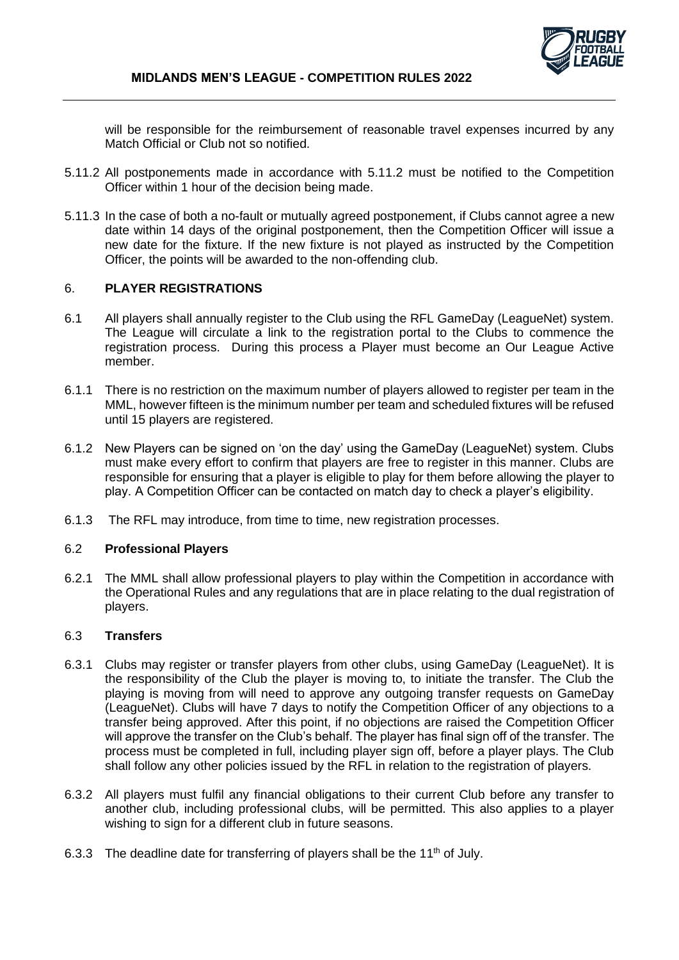

will be responsible for the reimbursement of reasonable travel expenses incurred by any Match Official or Club not so notified.

- 5.11.2 All postponements made in accordance with 5.11.2 must be notified to the Competition Officer within 1 hour of the decision being made.
- 5.11.3 In the case of both a no-fault or mutually agreed postponement, if Clubs cannot agree a new date within 14 days of the original postponement, then the Competition Officer will issue a new date for the fixture. If the new fixture is not played as instructed by the Competition Officer, the points will be awarded to the non-offending club.

# 6. **PLAYER REGISTRATIONS**

- 6.1 All players shall annually register to the Club using the RFL GameDay (LeagueNet) system. The League will circulate a link to the registration portal to the Clubs to commence the registration process. During this process a Player must become an Our League Active member.
- 6.1.1 There is no restriction on the maximum number of players allowed to register per team in the MML, however fifteen is the minimum number per team and scheduled fixtures will be refused until 15 players are registered.
- 6.1.2 New Players can be signed on 'on the day' using the GameDay (LeagueNet) system. Clubs must make every effort to confirm that players are free to register in this manner. Clubs are responsible for ensuring that a player is eligible to play for them before allowing the player to play. A Competition Officer can be contacted on match day to check a player's eligibility.
- 6.1.3 The RFL may introduce, from time to time, new registration processes.

### 6.2 **Professional Players**

6.2.1 The MML shall allow professional players to play within the Competition in accordance with the Operational Rules and any regulations that are in place relating to the dual registration of players.

### 6.3 **Transfers**

- 6.3.1 Clubs may register or transfer players from other clubs, using GameDay (LeagueNet). It is the responsibility of the Club the player is moving to, to initiate the transfer. The Club the playing is moving from will need to approve any outgoing transfer requests on GameDay (LeagueNet). Clubs will have 7 days to notify the Competition Officer of any objections to a transfer being approved. After this point, if no objections are raised the Competition Officer will approve the transfer on the Club's behalf. The player has final sign off of the transfer. The process must be completed in full, including player sign off, before a player plays. The Club shall follow any other policies issued by the RFL in relation to the registration of players.
- 6.3.2 All players must fulfil any financial obligations to their current Club before any transfer to another club, including professional clubs, will be permitted. This also applies to a player wishing to sign for a different club in future seasons.
- 6.3.3 The deadline date for transferring of players shall be the 11<sup>th</sup> of July.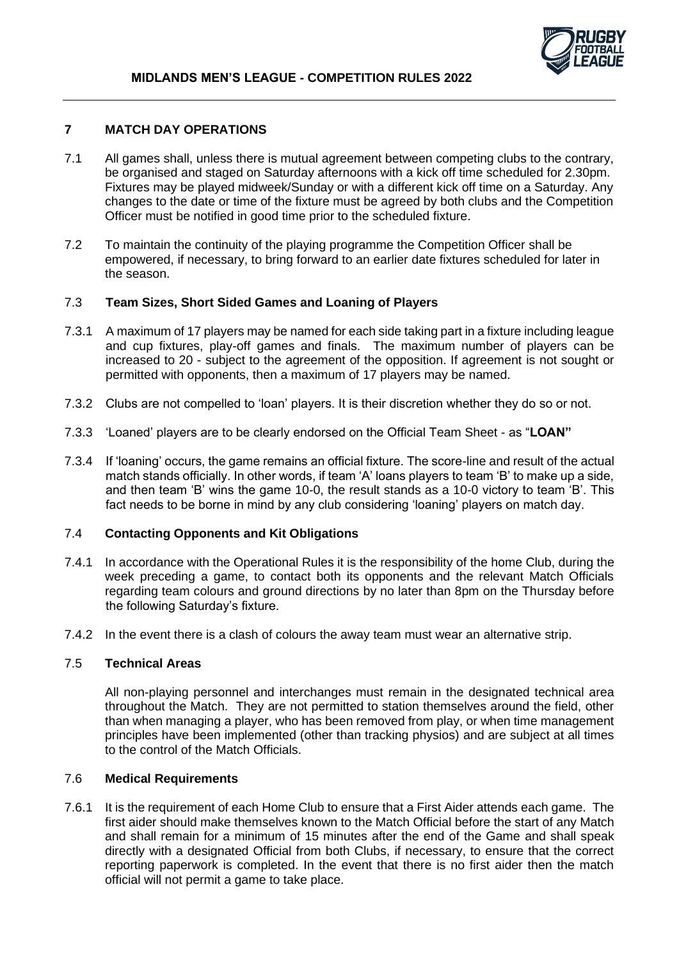

### **7 MATCH DAY OPERATIONS**

- 7.1 All games shall, unless there is mutual agreement between competing clubs to the contrary, be organised and staged on Saturday afternoons with a kick off time scheduled for 2.30pm. Fixtures may be played midweek/Sunday or with a different kick off time on a Saturday. Any changes to the date or time of the fixture must be agreed by both clubs and the Competition Officer must be notified in good time prior to the scheduled fixture.
- 7.2 To maintain the continuity of the playing programme the Competition Officer shall be empowered, if necessary, to bring forward to an earlier date fixtures scheduled for later in the season.

# 7.3 **Team Sizes, Short Sided Games and Loaning of Players**

- 7.3.1 A maximum of 17 players may be named for each side taking part in a fixture including league and cup fixtures, play-off games and finals. The maximum number of players can be increased to 20 - subject to the agreement of the opposition. If agreement is not sought or permitted with opponents, then a maximum of 17 players may be named.
- 7.3.2 Clubs are not compelled to 'loan' players. It is their discretion whether they do so or not.
- 7.3.3 'Loaned' players are to be clearly endorsed on the Official Team Sheet as "**LOAN"**
- 7.3.4 If 'loaning' occurs, the game remains an official fixture. The score-line and result of the actual match stands officially. In other words, if team 'A' loans players to team 'B' to make up a side, and then team 'B' wins the game 10-0, the result stands as a 10-0 victory to team 'B'. This fact needs to be borne in mind by any club considering 'loaning' players on match day.

### 7.4 **Contacting Opponents and Kit Obligations**

- 7.4.1 In accordance with the Operational Rules it is the responsibility of the home Club, during the week preceding a game, to contact both its opponents and the relevant Match Officials regarding team colours and ground directions by no later than 8pm on the Thursday before the following Saturday's fixture.
- 7.4.2 In the event there is a clash of colours the away team must wear an alternative strip.

### 7.5 **Technical Areas**

All non-playing personnel and interchanges must remain in the designated technical area throughout the Match. They are not permitted to station themselves around the field, other than when managing a player, who has been removed from play, or when time management principles have been implemented (other than tracking physios) and are subject at all times to the control of the Match Officials.

### 7.6 **Medical Requirements**

7.6.1 It is the requirement of each Home Club to ensure that a First Aider attends each game. The first aider should make themselves known to the Match Official before the start of any Match and shall remain for a minimum of 15 minutes after the end of the Game and shall speak directly with a designated Official from both Clubs, if necessary, to ensure that the correct reporting paperwork is completed. In the event that there is no first aider then the match official will not permit a game to take place.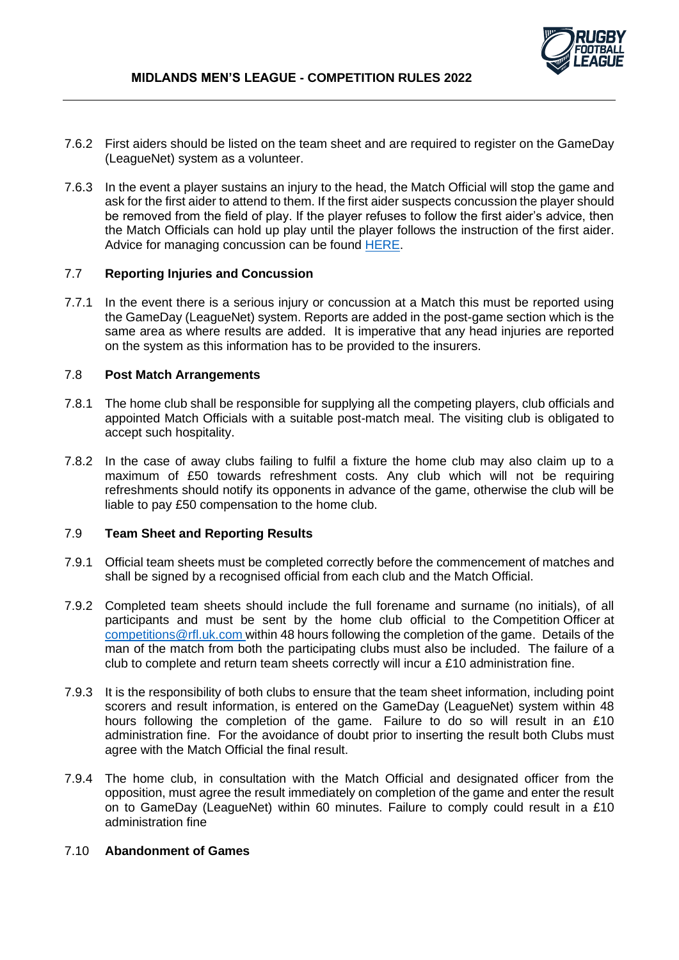

- 7.6.2 First aiders should be listed on the team sheet and are required to register on the GameDay (LeagueNet) system as a volunteer.
- 7.6.3 In the event a player sustains an injury to the head, the Match Official will stop the game and ask for the first aider to attend to them. If the first aider suspects concussion the player should be removed from the field of play. If the player refuses to follow the first aider's advice, then the Match Officials can hold up play until the player follows the instruction of the first aider. Advice for managing concussion can be found [HERE.](https://www.rugby-league.com/governance/medical/concussion)

### 7.7 **Reporting Injuries and Concussion**

7.7.1 In the event there is a serious injury or concussion at a Match this must be reported using the GameDay (LeagueNet) system. Reports are added in the post-game section which is the same area as where results are added. It is imperative that any head injuries are reported on the system as this information has to be provided to the insurers.

### 7.8 **Post Match Arrangements**

- 7.8.1 The home club shall be responsible for supplying all the competing players, club officials and appointed Match Officials with a suitable post-match meal. The visiting club is obligated to accept such hospitality.
- 7.8.2 In the case of away clubs failing to fulfil a fixture the home club may also claim up to a maximum of £50 towards refreshment costs. Any club which will not be requiring refreshments should notify its opponents in advance of the game, otherwise the club will be liable to pay £50 compensation to the home club.

### 7.9 **Team Sheet and Reporting Results**

- 7.9.1 Official team sheets must be completed correctly before the commencement of matches and shall be signed by a recognised official from each club and the Match Official.
- 7.9.2 Completed team sheets should include the full forename and surname (no initials), of all participants and must be sent by the home club official to the Competition Officer at [competitions@rfl.uk.com](mailto:competitions@rfl.uk.com) within 48 hours following the completion of the game. Details of the man of the match from both the participating clubs must also be included. The failure of a club to complete and return team sheets correctly will incur a £10 administration fine.
- 7.9.3 It is the responsibility of both clubs to ensure that the team sheet information, including point scorers and result information, is entered on the GameDay (LeagueNet) system within 48 hours following the completion of the game. Failure to do so will result in an £10 administration fine. For the avoidance of doubt prior to inserting the result both Clubs must agree with the Match Official the final result.
- 7.9.4 The home club, in consultation with the Match Official and designated officer from the opposition, must agree the result immediately on completion of the game and enter the result on to GameDay (LeagueNet) within 60 minutes. Failure to comply could result in a £10 administration fine

### 7.10 **Abandonment of Games**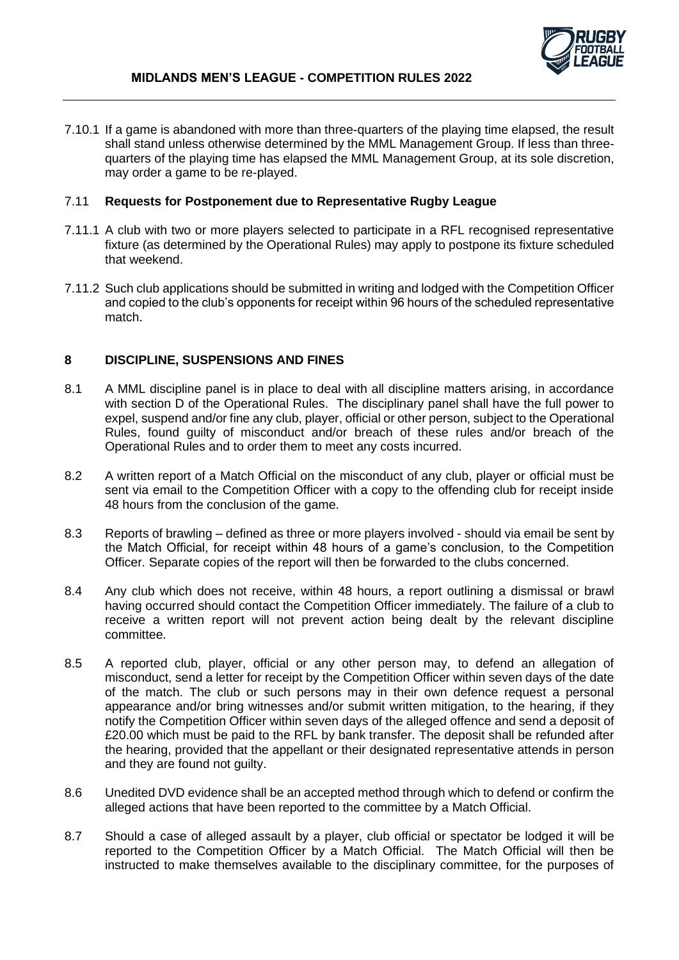

7.10.1 If a game is abandoned with more than three-quarters of the playing time elapsed, the result shall stand unless otherwise determined by the MML Management Group. If less than threequarters of the playing time has elapsed the MML Management Group, at its sole discretion, may order a game to be re-played.

### 7.11 **Requests for Postponement due to Representative Rugby League**

- 7.11.1 A club with two or more players selected to participate in a RFL recognised representative fixture (as determined by the Operational Rules) may apply to postpone its fixture scheduled that weekend.
- 7.11.2 Such club applications should be submitted in writing and lodged with the Competition Officer and copied to the club's opponents for receipt within 96 hours of the scheduled representative match.

### **8 DISCIPLINE, SUSPENSIONS AND FINES**

- 8.1 A MML discipline panel is in place to deal with all discipline matters arising, in accordance with section D of the Operational Rules. The disciplinary panel shall have the full power to expel, suspend and/or fine any club, player, official or other person, subject to the Operational Rules, found guilty of misconduct and/or breach of these rules and/or breach of the Operational Rules and to order them to meet any costs incurred.
- 8.2 A written report of a Match Official on the misconduct of any club, player or official must be sent via email to the Competition Officer with a copy to the offending club for receipt inside 48 hours from the conclusion of the game.
- 8.3 Reports of brawling defined as three or more players involved should via email be sent by the Match Official, for receipt within 48 hours of a game's conclusion, to the Competition Officer. Separate copies of the report will then be forwarded to the clubs concerned.
- 8.4 Any club which does not receive, within 48 hours, a report outlining a dismissal or brawl having occurred should contact the Competition Officer immediately. The failure of a club to receive a written report will not prevent action being dealt by the relevant discipline committee.
- 8.5 A reported club, player, official or any other person may, to defend an allegation of misconduct, send a letter for receipt by the Competition Officer within seven days of the date of the match. The club or such persons may in their own defence request a personal appearance and/or bring witnesses and/or submit written mitigation, to the hearing, if they notify the Competition Officer within seven days of the alleged offence and send a deposit of £20.00 which must be paid to the RFL by bank transfer. The deposit shall be refunded after the hearing, provided that the appellant or their designated representative attends in person and they are found not guilty.
- 8.6 Unedited DVD evidence shall be an accepted method through which to defend or confirm the alleged actions that have been reported to the committee by a Match Official.
- 8.7 Should a case of alleged assault by a player, club official or spectator be lodged it will be reported to the Competition Officer by a Match Official. The Match Official will then be instructed to make themselves available to the disciplinary committee, for the purposes of